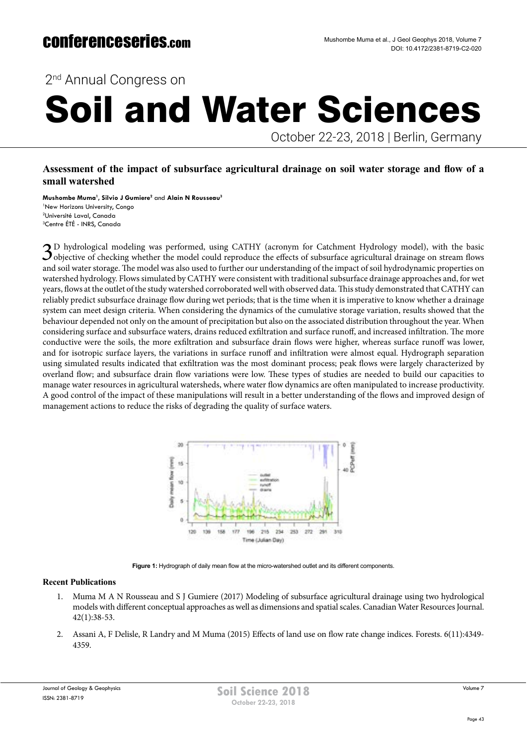2<sup>nd</sup> Annual Congress on

# Soil and Water Sciences

October 22-23, 2018 | Berlin, Germany

### **Assessment of the impact of subsurface agricultural drainage on soil water storage and flow of a small watershed**

**Mushombe Muma1 , Silvio J Gumiere2** and **Alain N Rousseau3** New Horizons University, Congo Université Laval, Canada Centre ÉTÉ - INRS, Canada

3D hydrological modeling was performed, using CATHY (acronym for Catchment Hydrology model), with the basic  $\mathcal{J}_{\text{objective}}$  of checking whether the model could reproduce the effects of subsurface agricultural drainage on stream flows and soil water storage. The model was also used to further our understanding of the impact of soil hydrodynamic properties on watershed hydrology. Flows simulated by CATHY were consistent with traditional subsurface drainage approaches and, for wet years, flows at the outlet of the study watershed corroborated well with observed data. This study demonstrated that CATHY can reliably predict subsurface drainage flow during wet periods; that is the time when it is imperative to know whether a drainage system can meet design criteria. When considering the dynamics of the cumulative storage variation, results showed that the behaviour depended not only on the amount of precipitation but also on the associated distribution throughout the year. When considering surface and subsurface waters, drains reduced exfiltration and surface runoff, and increased infiltration. The more conductive were the soils, the more exfiltration and subsurface drain flows were higher, whereas surface runoff was lower, and for isotropic surface layers, the variations in surface runoff and infiltration were almost equal. Hydrograph separation using simulated results indicated that exfiltration was the most dominant process; peak flows were largely characterized by overland flow; and subsurface drain flow variations were low. These types of studies are needed to build our capacities to manage water resources in agricultural watersheds, where water flow dynamics are often manipulated to increase productivity. A good control of the impact of these manipulations will result in a better understanding of the flows and improved design of management actions to reduce the risks of degrading the quality of surface waters.



Figure 1: Hydrograph of daily mean flow at the micro-watershed outlet and its different components.

#### **Recent Publications**

- 1. Muma M A N Rousseau and S J Gumiere (2017) Modeling of subsurface agricultural drainage using two hydrological models with different conceptual approaches as well as dimensions and spatial scales. Canadian Water Resources Journal. 42(1):38-53.
- 2. Assani A, F Delisle, R Landry and M Muma (2015) Effects of land use on flow rate change indices. Forests. 6(11):4349- 4359.